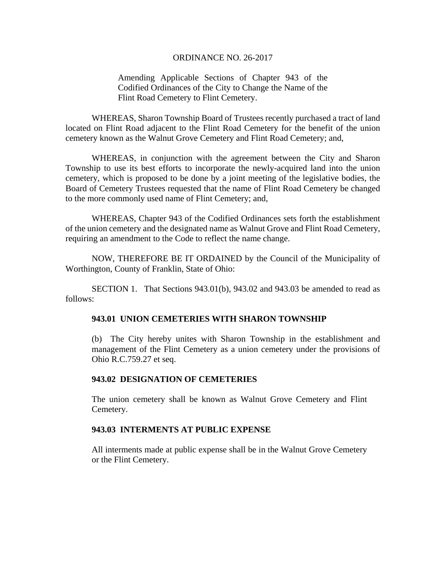## ORDINANCE NO. 26-2017

Amending Applicable Sections of Chapter 943 of the Codified Ordinances of the City to Change the Name of the Flint Road Cemetery to Flint Cemetery.

WHEREAS, Sharon Township Board of Trustees recently purchased a tract of land located on Flint Road adjacent to the Flint Road Cemetery for the benefit of the union cemetery known as the Walnut Grove Cemetery and Flint Road Cemetery; and,

WHEREAS, in conjunction with the agreement between the City and Sharon Township to use its best efforts to incorporate the newly-acquired land into the union cemetery, which is proposed to be done by a joint meeting of the legislative bodies, the Board of Cemetery Trustees requested that the name of Flint Road Cemetery be changed to the more commonly used name of Flint Cemetery; and,

WHEREAS, Chapter 943 of the Codified Ordinances sets forth the establishment of the union cemetery and the designated name as Walnut Grove and Flint Road Cemetery, requiring an amendment to the Code to reflect the name change.

 NOW, THEREFORE BE IT ORDAINED by the Council of the Municipality of Worthington, County of Franklin, State of Ohio:

SECTION 1. That Sections  $943.01(b)$ ,  $943.02$  and  $943.03$  be amended to read as follows:

# **943.01 UNION CEMETERIES WITH SHARON TOWNSHIP**

(b) The City hereby unites with Sharon Township in the establishment and management of the Flint Cemetery as a union cemetery under the provisions of Ohio R.C.759.27 et seq.

#### **943.02 DESIGNATION OF CEMETERIES**

The union cemetery shall be known as Walnut Grove Cemetery and Flint Cemetery.

# **943.03 INTERMENTS AT PUBLIC EXPENSE**

All interments made at public expense shall be in the Walnut Grove Cemetery or the Flint Cemetery.